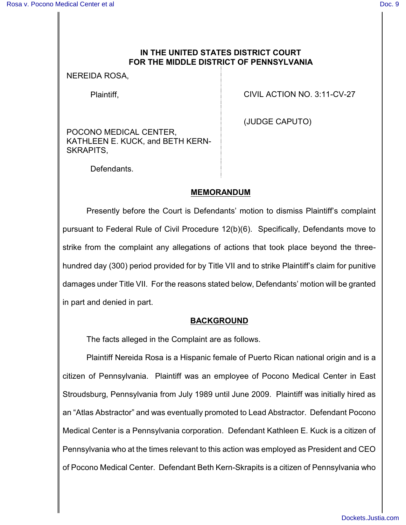## **IN THE UNITED STATES DISTRICT COURT FOR THE MIDDLE DISTRICT OF PENNSYLVANIA**

NEREIDA ROSA,

Plaintiff,

CIVIL ACTION NO. 3:11-CV-27

(JUDGE CAPUTO)

POCONO MEDICAL CENTER, KATHLEEN E. KUCK, and BETH KERN-SKRAPITS,

Defendants.

#### **MEMORANDUM**

Presently before the Court is Defendants' motion to dismiss Plaintiff's complaint pursuant to Federal Rule of Civil Procedure 12(b)(6). Specifically, Defendants move to strike from the complaint any allegations of actions that took place beyond the threehundred day (300) period provided for by Title VII and to strike Plaintiff's claim for punitive damages under Title VII. For the reasons stated below, Defendants' motion will be granted in part and denied in part.

#### **BACKGROUND**

The facts alleged in the Complaint are as follows.

Plaintiff Nereida Rosa is a Hispanic female of Puerto Rican national origin and is a citizen of Pennsylvania. Plaintiff was an employee of Pocono Medical Center in East Stroudsburg, Pennsylvania from July 1989 until June 2009. Plaintiff was initially hired as an "Atlas Abstractor" and was eventually promoted to Lead Abstractor. Defendant Pocono Medical Center is a Pennsylvania corporation. Defendant Kathleen E. Kuck is a citizen of Pennsylvania who at the times relevant to this action was employed as President and CEO of Pocono Medical Center. Defendant Beth Kern-Skrapits is a citizen of Pennsylvania who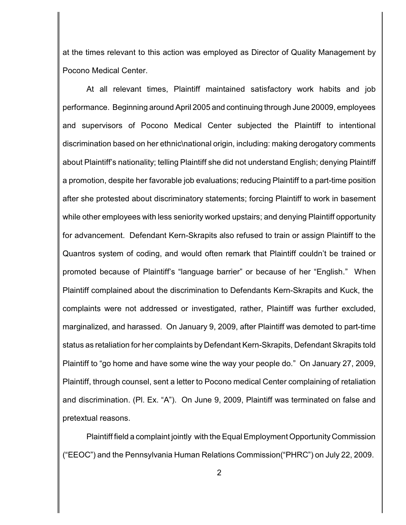at the times relevant to this action was employed as Director of Quality Management by Pocono Medical Center.

At all relevant times, Plaintiff maintained satisfactory work habits and job performance. Beginning around April 2005 and continuing through June 20009, employees and supervisors of Pocono Medical Center subjected the Plaintiff to intentional discrimination based on her ethnic\national origin, including: making derogatory comments about Plaintiff's nationality; telling Plaintiff she did not understand English; denying Plaintiff a promotion, despite her favorable job evaluations; reducing Plaintiff to a part-time position after she protested about discriminatory statements; forcing Plaintiff to work in basement while other employees with less seniority worked upstairs; and denying Plaintiff opportunity for advancement. Defendant Kern-Skrapits also refused to train or assign Plaintiff to the Quantros system of coding, and would often remark that Plaintiff couldn't be trained or promoted because of Plaintiff's "language barrier" or because of her "English." When Plaintiff complained about the discrimination to Defendants Kern-Skrapits and Kuck, the complaints were not addressed or investigated, rather, Plaintiff was further excluded, marginalized, and harassed. On January 9, 2009, after Plaintiff was demoted to part-time status as retaliation for her complaints by Defendant Kern-Skrapits, Defendant Skrapits told Plaintiff to "go home and have some wine the way your people do." On January 27, 2009, Plaintiff, through counsel, sent a letter to Pocono medical Center complaining of retaliation and discrimination. (Pl. Ex. "A"). On June 9, 2009, Plaintiff was terminated on false and pretextual reasons.

Plaintiff field a complaint jointly with theEqual Employment Opportunity Commission ("EEOC") and the Pennsylvania Human Relations Commission("PHRC") on July 22, 2009.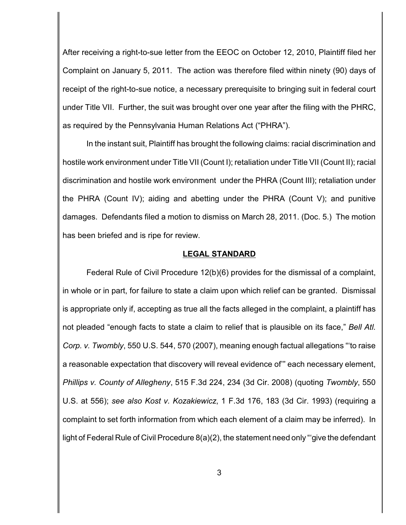After receiving a right-to-sue letter from the EEOC on October 12, 2010, Plaintiff filed her Complaint on January 5, 2011. The action was therefore filed within ninety (90) days of receipt of the right-to-sue notice, a necessary prerequisite to bringing suit in federal court under Title VII. Further, the suit was brought over one year after the filing with the PHRC, as required by the Pennsylvania Human Relations Act ("PHRA").

In the instant suit, Plaintiff has brought the following claims: racial discrimination and hostile work environment under Title VII (Count I); retaliation under Title VII (Count II); racial discrimination and hostile work environment under the PHRA (Count III); retaliation under the PHRA (Count IV); aiding and abetting under the PHRA (Count V); and punitive damages. Defendants filed a motion to dismiss on March 28, 2011. (Doc. 5.) The motion has been briefed and is ripe for review.

#### **LEGAL STANDARD**

Federal Rule of Civil Procedure 12(b)(6) provides for the dismissal of a complaint, in whole or in part, for failure to state a claim upon which relief can be granted. Dismissal is appropriate only if, accepting as true all the facts alleged in the complaint, a plaintiff has not pleaded "enough facts to state a claim to relief that is plausible on its face," *Bell Atl. Corp. v. Twombly*, 550 U.S. 544, 570 (2007), meaning enough factual allegations "'to raise a reasonable expectation that discovery will reveal evidence of'" each necessary element, *Phillips v. County of Allegheny*, 515 F.3d 224, 234 (3d Cir. 2008) (quoting *Twombly*, 550 U.S. at 556); *see also Kost v. Kozakiewicz*, 1 F.3d 176, 183 (3d Cir. 1993) (requiring a complaint to set forth information from which each element of a claim may be inferred). In light of Federal Rule of Civil Procedure 8(a)(2), the statement need only "'give the defendant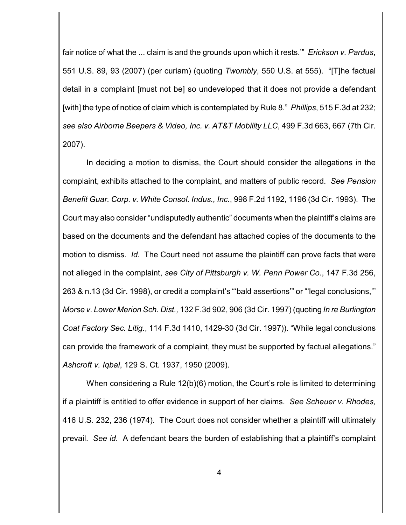fair notice of what the ... claim is and the grounds upon which it rests.'" *Erickson v. Pardus*, 551 U.S. 89, 93 (2007) (per curiam) (quoting *Twombly*, 550 U.S. at 555). "[T]he factual detail in a complaint [must not be] so undeveloped that it does not provide a defendant [with] the type of notice of claim which is contemplated by Rule 8." *Phillips*, 515 F.3d at 232; *see also Airborne Beepers & Video, Inc. v. AT&T Mobility LLC*, 499 F.3d 663, 667 (7th Cir. 2007).

In deciding a motion to dismiss, the Court should consider the allegations in the complaint, exhibits attached to the complaint, and matters of public record. *See Pension Benefit Guar. Corp. v. White Consol. Indus., Inc.*, 998 F.2d 1192, 1196 (3d Cir. 1993). The Court may also consider "undisputedly authentic" documents when the plaintiff's claims are based on the documents and the defendant has attached copies of the documents to the motion to dismiss. *Id.* The Court need not assume the plaintiff can prove facts that were not alleged in the complaint, *see City of Pittsburgh v. W. Penn Power Co.*, 147 F.3d 256, 263 & n.13 (3d Cir. 1998), or credit a complaint's "'bald assertions'" or "'legal conclusions,'" *Morse v. Lower Merion Sch. Dist.,* 132 F.3d 902, 906 (3d Cir. 1997) (quoting *In re Burlington Coat Factory Sec. Litig.*, 114 F.3d 1410, 1429-30 (3d Cir. 1997)). "While legal conclusions can provide the framework of a complaint, they must be supported by factual allegations." *Ashcroft v. Iqbal*, 129 S. Ct. 1937, 1950 (2009).

When considering a Rule 12(b)(6) motion, the Court's role is limited to determining if a plaintiff is entitled to offer evidence in support of her claims. *See Scheuer v. Rhodes,* 416 U.S. 232, 236 (1974). The Court does not consider whether a plaintiff will ultimately prevail. *See id.* A defendant bears the burden of establishing that a plaintiff's complaint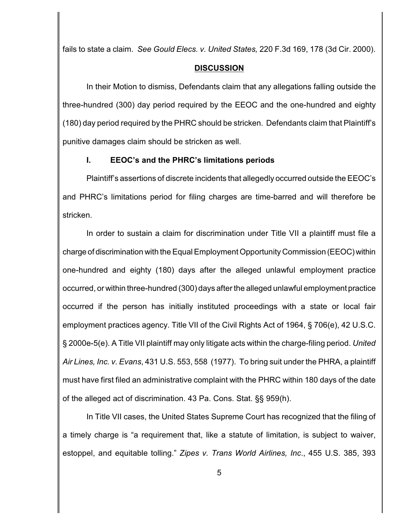fails to state a claim. *See Gould Elecs. v. United States,* 220 F.3d 169, 178 (3d Cir. 2000).

#### **DISCUSSION**

In their Motion to dismiss, Defendants claim that any allegations falling outside the three-hundred (300) day period required by the EEOC and the one-hundred and eighty (180) day period required by the PHRC should be stricken. Defendants claim that Plaintiff's punitive damages claim should be stricken as well.

## **I. EEOC's and the PHRC's limitations periods**

Plaintiff's assertions of discrete incidents that allegedly occurred outside the EEOC's and PHRC's limitations period for filing charges are time-barred and will therefore be stricken.

In order to sustain a claim for discrimination under Title VII a plaintiff must file a charge of discrimination with the Equal Employment Opportunity Commission (EEOC)within one-hundred and eighty (180) days after the alleged unlawful employment practice occurred, or within three-hundred (300) days after the alleged unlawful employment practice occurred if the person has initially instituted proceedings with a state or local fair employment practices agency. Title VII of the Civil Rights Act of 1964, § 706(e), 42 U.S.C. § 2000e-5(e). A Title VII plaintiff may only litigate acts within the charge-filing period. *United Air Lines, Inc. v. Evans*, 431 U.S. 553, 558 (1977). To bring suit under the PHRA, a plaintiff must have first filed an administrative complaint with the PHRC within 180 days of the date of the alleged act of discrimination. 43 Pa. Cons. Stat. §§ 959(h).

In Title VII cases, the United States Supreme Court has recognized that the filing of a timely charge is "a requirement that, like a statute of limitation, is subject to waiver, estoppel, and equitable tolling." *Zipes v. Trans World Airlines, Inc*., 455 U.S. 385, 393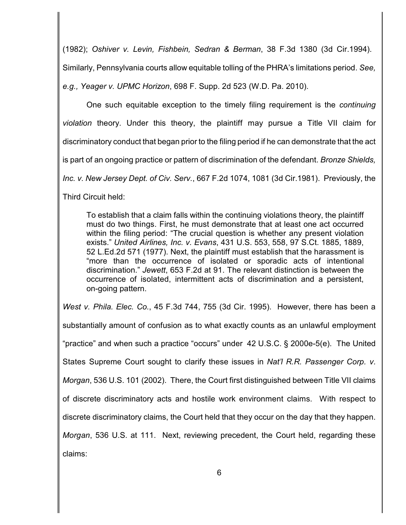(1982); *Oshiver v. Levin, Fishbein, Sedran & Berman*, 38 F.3d 1380 (3d Cir.1994). Similarly, Pennsylvania courts allow equitable tolling of the PHRA's limitations period. *See, e.g., Yeager v. UPMC Horizon*, 698 F. Supp. 2d 523 (W.D. Pa. 2010).

One such equitable exception to the timely filing requirement is the *continuing violation* theory. Under this theory, the plaintiff may pursue a Title VII claim for discriminatory conduct that began prior to the filing period if he can demonstrate that the act is part of an ongoing practice or pattern of discrimination of the defendant. *Bronze Shields, Inc. v. New Jersey Dept. of Civ. Serv.*, 667 F.2d 1074, 1081 (3d Cir.1981). Previously, the Third Circuit held:

To establish that a claim falls within the continuing violations theory, the plaintiff must do two things. First, he must demonstrate that at least one act occurred within the filing period: "The crucial question is whether any present violation exists." *United Airlines, Inc. v. Evans*, 431 U.S. 553, 558, 97 S.Ct. 1885, 1889, 52 L.Ed.2d 571 (1977). Next, the plaintiff must establish that the harassment is "more than the occurrence of isolated or sporadic acts of intentional discrimination." *Jewett*, 653 F.2d at 91. The relevant distinction is between the occurrence of isolated, intermittent acts of discrimination and a persistent, on-going pattern.

*West v. Phila. Elec. Co.*, 45 F.3d 744, 755 (3d Cir. 1995). However, there has been a substantially amount of confusion as to what exactly counts as an unlawful employment "practice" and when such a practice "occurs" under 42 U.S.C. § 2000e-5(e). The United States Supreme Court sought to clarify these issues in *Nat'l R.R. Passenger Corp. v. Morgan*, 536 U.S. 101 (2002). There, the Court first distinguished between Title VII claims of discrete discriminatory acts and hostile work environment claims. With respect to discrete discriminatory claims, the Court held that they occur on the day that they happen. *Morgan*, 536 U.S. at 111. Next, reviewing precedent, the Court held, regarding these claims: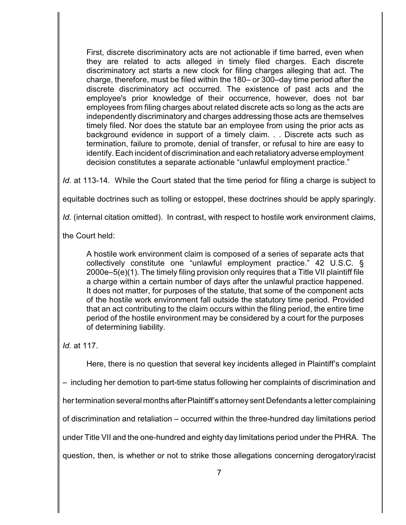First, discrete discriminatory acts are not actionable if time barred, even when they are related to acts alleged in timely filed charges. Each discrete discriminatory act starts a new clock for filing charges alleging that act. The charge, therefore, must be filed within the 180– or 300–day time period after the discrete discriminatory act occurred. The existence of past acts and the employee's prior knowledge of their occurrence, however, does not bar employees from filing charges about related discrete acts so long as the acts are independently discriminatory and charges addressing those acts are themselves timely filed. Nor does the statute bar an employee from using the prior acts as background evidence in support of a timely claim. . . Discrete acts such as termination, failure to promote, denial of transfer, or refusal to hire are easy to identify. Each incident of discrimination and each retaliatory adverse employment decision constitutes a separate actionable "unlawful employment practice."

*Id.* at 113-14. While the Court stated that the time period for filing a charge is subject to

equitable doctrines such as tolling or estoppel, these doctrines should be apply sparingly.

*Id.* (internal citation omitted). In contrast, with respect to hostile work environment claims,

the Court held:

A hostile work environment claim is composed of a series of separate acts that collectively constitute one "unlawful employment practice." 42 U.S.C. § 2000e–5(e)(1). The timely filing provision only requires that a Title VII plaintiff file a charge within a certain number of days after the unlawful practice happened. It does not matter, for purposes of the statute, that some of the component acts of the hostile work environment fall outside the statutory time period. Provided that an act contributing to the claim occurs within the filing period, the entire time period of the hostile environment may be considered by a court for the purposes of determining liability.

*Id.* at 117.

Here, there is no question that several key incidents alleged in Plaintiff's complaint

– including her demotion to part-time status following her complaints of discrimination and

her termination several months after Plaintiff's attorney sent Defendants a letter complaining

of discrimination and retaliation – occurred within the three-hundred day limitations period

under Title VII and the one-hundred and eighty day limitations period under the PHRA. The

question, then, is whether or not to strike those allegations concerning derogatory\racist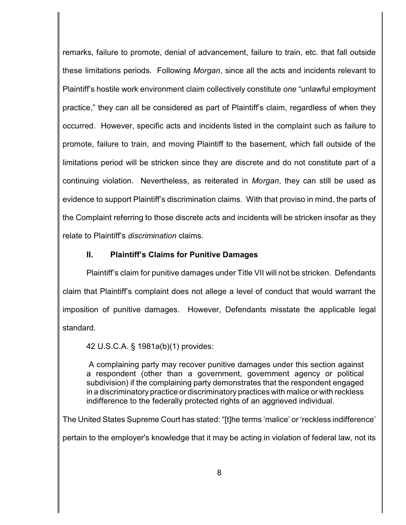remarks, failure to promote, denial of advancement, failure to train, etc. that fall outside these limitations periods. Following *Morgan*, since all the acts and incidents relevant to Plaintiff's hostile work environment claim collectively constitute *one* "unlawful employment practice," they can all be considered as part of Plaintiff's claim, regardless of when they occurred. However, specific acts and incidents listed in the complaint such as failure to promote, failure to train, and moving Plaintiff to the basement, which fall outside of the limitations period will be stricken since they are discrete and do not constitute part of a continuing violation. Nevertheless, as reiterated in *Morgan*, they can still be used as evidence to support Plaintiff's discrimination claims. With that proviso in mind, the parts of the Complaint referring to those discrete acts and incidents will be stricken insofar as they relate to Plaintiff's *discrimination* claims.

## **II. Plaintiff's Claims for Punitive Damages**

Plaintiff's claim for punitive damages under Title VII will not be stricken. Defendants claim that Plaintiff's complaint does not allege a level of conduct that would warrant the imposition of punitive damages. However, Defendants misstate the applicable legal standard.

42 U.S.C.A. § 1981a(b)(1) provides:

A complaining party may recover punitive damages under this section against a respondent (other than a government, government agency or political subdivision) if the complaining party demonstrates that the respondent engaged in a discriminatory practice or discriminatory practices with malice or with reckless indifference to the federally protected rights of an aggrieved individual.

The United States Supreme Court has stated: "[t]he terms 'malice' or 'reckless indifference'

pertain to the employer's knowledge that it may be acting in violation of federal law, not its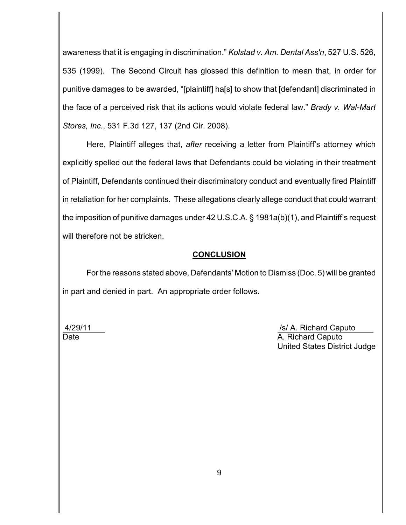awareness that it is engaging in discrimination." *Kolstad v. Am. Dental Ass'n*, 527 U.S. 526, 535 (1999). The Second Circuit has glossed this definition to mean that, in order for punitive damages to be awarded, "[plaintiff] ha[s] to show that [defendant] discriminated in the face of a perceived risk that its actions would violate federal law." *Brady v. Wal-Mart Stores, Inc.*, 531 F.3d 127, 137 (2nd Cir. 2008).

Here, Plaintiff alleges that, *after* receiving a letter from Plaintiff's attorney which explicitly spelled out the federal laws that Defendants could be violating in their treatment of Plaintiff, Defendants continued their discriminatory conduct and eventually fired Plaintiff in retaliation for her complaints. These allegations clearly allege conduct that could warrant the imposition of punitive damages under 42 U.S.C.A. § 1981a(b)(1), and Plaintiff's request will therefore not be stricken.

### **CONCLUSION**

For the reasons stated above, Defendants' Motion to Dismiss (Doc. 5) will be granted in part and denied in part. An appropriate order follows.

4/29/11 /s/ A. Richard Caputo Date A. Richard Caputo United States District Judge